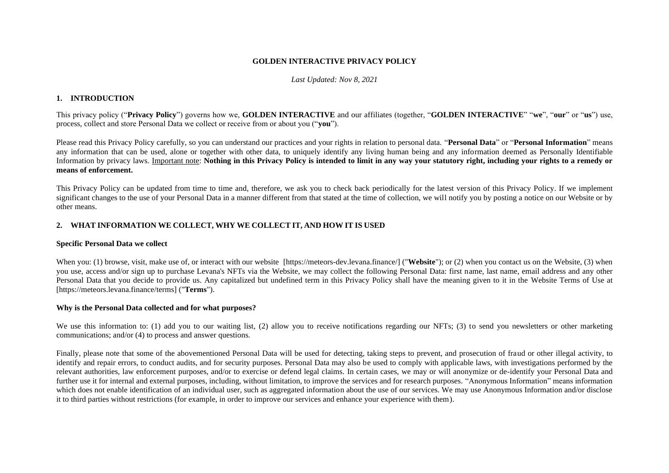### **GOLDEN INTERACTIVE PRIVACY POLICY**

### *Last Updated: Nov 8, 2021*

# **1. INTRODUCTION**

This privacy policy ("**Privacy Policy**") governs how we, **GOLDEN INTERACTIVE** and our affiliates (together, "**GOLDEN INTERACTIVE**" "**we**", "**our**" or "**us**") use, process, collect and store Personal Data we collect or receive from or about you ("**you**").

Please read this Privacy Policy carefully, so you can understand our practices and your rights in relation to personal data. "**Personal Data**" or "**Personal Information**" means any information that can be used, alone or together with other data, to uniquely identify any living human being and any information deemed as Personally Identifiable Information by privacy laws. Important note: **Nothing in this Privacy Policy is intended to limit in any way your statutory right, including your rights to a remedy or means of enforcement.** 

This Privacy Policy can be updated from time to time and, therefore, we ask you to check back periodically for the latest version of this Privacy Policy. If we implement significant changes to the use of your Personal Data in a manner different from that stated at the time of collection, we will notify you by posting a notice on our Website or by other means.

# **2. WHAT INFORMATION WE COLLECT, WHY WE COLLECT IT, AND HOW IT IS USED**

## **Specific Personal Data we collect**

When you: (1) browse, visit, make use of, or interact with our website [https://meteors-dev.levana.finance/] ("**Website**"); or (2) when you contact us on the Website, (3) when you use, access and/or sign up to purchase Levana's NFTs via the Website, we may collect the following Personal Data: first name, last name, email address and any other Personal Data that you decide to provide us. Any capitalized but undefined term in this Privacy Policy shall have the meaning given to it in the Website Terms of Use at [https://meteors.levana.finance/terms] ("**Terms**").

## **Why is the Personal Data collected and for what purposes?**

We use this information to: (1) add you to our waiting list, (2) allow you to receive notifications regarding our NFTs; (3) to send you newsletters or other marketing communications; and/or (4) to process and answer questions.

Finally, please note that some of the abovementioned Personal Data will be used for detecting, taking steps to prevent, and prosecution of fraud or other illegal activity, to identify and repair errors, to conduct audits, and for security purposes. Personal Data may also be used to comply with applicable laws, with investigations performed by the relevant authorities, law enforcement purposes, and/or to exercise or defend legal claims. In certain cases, we may or will anonymize or de-identify your Personal Data and further use it for internal and external purposes, including, without limitation, to improve the services and for research purposes. "Anonymous Information" means information which does not enable identification of an individual user, such as aggregated information about the use of our services. We may use Anonymous Information and/or disclose it to third parties without restrictions (for example, in order to improve our services and enhance your experience with them).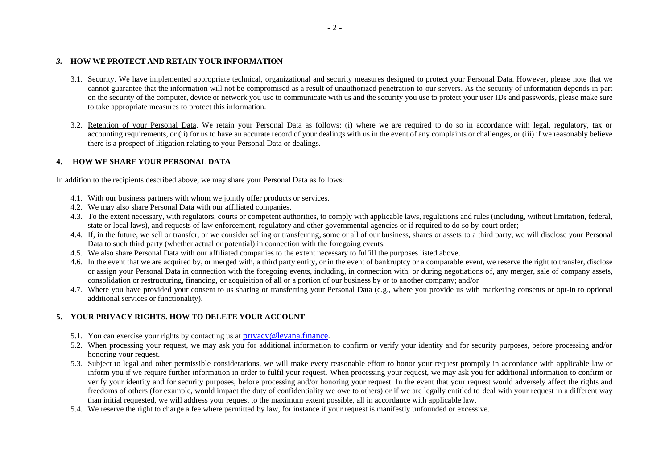## *3.* **HOW WE PROTECT AND RETAIN YOUR INFORMATION**

- 3.1. Security. We have implemented appropriate technical, organizational and security measures designed to protect your Personal Data. However, please note that we cannot guarantee that the information will not be compromised as a result of unauthorized penetration to our servers. As the security of information depends in part on the security of the computer, device or network you use to communicate with us and the security you use to protect your user IDs and passwords, please make sure to take appropriate measures to protect this information.
- 3.2. Retention of your Personal Data. We retain your Personal Data as follows: (i) where we are required to do so in accordance with legal, regulatory, tax or accounting requirements, or (ii) for us to have an accurate record of your dealings with us in the event of any complaints or challenges, or (iii) if we reasonably believe there is a prospect of litigation relating to your Personal Data or dealings.

# **4. HOW WE SHARE YOUR PERSONAL DATA**

In addition to the recipients described above, we may share your Personal Data as follows:

- 4.1. With our business partners with whom we jointly offer products or services.
- 4.2. We may also share Personal Data with our affiliated companies.
- 4.3. To the extent necessary, with regulators, courts or competent authorities, to comply with applicable laws, regulations and rules (including, without limitation, federal, state or local laws), and requests of law enforcement, regulatory and other governmental agencies or if required to do so by court order;
- 4.4. If, in the future, we sell or transfer, or we consider selling or transferring, some or all of our business, shares or assets to a third party, we will disclose your Personal Data to such third party (whether actual or potential) in connection with the foregoing events;
- 4.5. We also share Personal Data with our affiliated companies to the extent necessary to fulfill the purposes listed above.
- 4.6. In the event that we are acquired by, or merged with, a third party entity, or in the event of bankruptcy or a comparable event, we reserve the right to transfer, disclose or assign your Personal Data in connection with the foregoing events, including, in connection with, or during negotiations of, any merger, sale of company assets, consolidation or restructuring, financing, or acquisition of all or a portion of our business by or to another company; and/or
- 4.7. Where you have provided your consent to us sharing or transferring your Personal Data (e.g., where you provide us with marketing consents or opt-in to optional additional services or functionality).

# **5. YOUR PRIVACY RIGHTS. HOW TO DELETE YOUR ACCOUNT**

- 5.1. You can exercise your rights by contacting us at [privacy@levana.finance](mailto:privacy@levana.finance).
- 5.2. When processing your request, we may ask you for additional information to confirm or verify your identity and for security purposes, before processing and/or honoring your request.
- 5.3. Subject to legal and other permissible considerations, we will make every reasonable effort to honor your request promptly in accordance with applicable law or inform you if we require further information in order to fulfil your request. When processing your request, we may ask you for additional information to confirm or verify your identity and for security purposes, before processing and/or honoring your request. In the event that your request would adversely affect the rights and freedoms of others (for example, would impact the duty of confidentiality we owe to others) or if we are legally entitled to deal with your request in a different way than initial requested, we will address your request to the maximum extent possible, all in accordance with applicable law.
- 5.4. We reserve the right to charge a fee where permitted by law, for instance if your request is manifestly unfounded or excessive.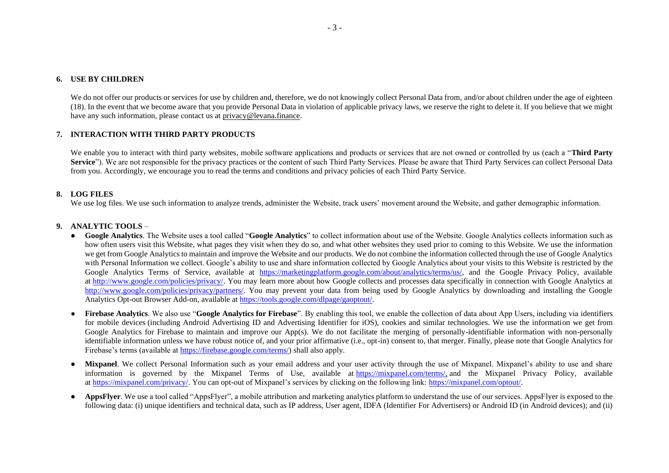We do not offer our products or services for use by children and, therefore, we do not knowingly collect Personal Data from, and/or about children under the age of eighteen (18). In the event that we become aware that you provide Personal Data in violation of applicable privacy laws, we reserve the right to delete it. If you believe that we might have any such information, please contact us at privacy@levana.finance.

## **7. INTERACTION WITH THIRD PARTY PRODUCTS**

We enable you to interact with third party websites, mobile software applications and products or services that are not owned or controlled by us (each a "**Third Party** Service"). We are not responsible for the privacy practices or the content of such Third Party Services. Please be aware that Third Party Services can collect Personal Data from you. Accordingly, we encourage you to read the terms and conditions and privacy policies of each Third Party Service.

### **8. LOG FILES**

We use log files. We use such information to analyze trends, administer the Website, track users' movement around the Website, and gather demographic information.

#### **9. ANALYTIC TOOLS** –

- **Google Analytics**. The Website uses a tool called "**Google Analytics**" to collect information about use of the Website. Google Analytics collects information such as how often users visit this Website, what pages they visit when they do so, and what other websites they used prior to coming to this Website. We use the information we get from Google Analytics to maintain and improve the Website and our products. We do not combine the information collected through the use of Google Analytics with Personal Information we collect. Google's ability to use and share information collected by Google Analytics about your visits to this Website is restricted by the Google Analytics Terms of Service, available at [https://marketingplatform.google.com/about/analytics/terms/us/,](https://marketingplatform.google.com/about/analytics/terms/us/) and the Google Privacy Policy, available at [http://www.google.com/policies/privacy/.](http://www.google.com/policies/privacy/) You may learn more about how Google collects and processes data specifically in connection with Google Analytics at [http://www.google.com/policies/privacy/partners/.](http://www.google.com/policies/privacy/partners/) You may prevent your data from being used by Google Analytics by downloading and installing the Google Analytics Opt-out Browser Add-on, available a[t https://tools.google.com/dlpage/gaoptout/.](https://tools.google.com/dlpage/gaoptout/)
- **Firebase Analytics**. We also use "**Google Analytics for Firebase**". By enabling this tool, we enable the collection of data about App Users, including via [identifiers](https://www.google.com/policies/technologies/ads/)  [for mobile devices](https://www.google.com/policies/technologies/ads/) (including Android Advertising ID and Advertising Identifier for iOS), cookies and similar technologies. We use the information we get from Google Analytics for Firebase to maintain and improve our App(s). We do not facilitate the merging of personally-identifiable information with non-personally identifiable information unless we have robust notice of, and your prior affirmative (i.e., opt-in) consent to, that merger. Finally, please note that Google Analytics for Firebase's terms (available at [https://firebase.google.com/terms/\)](https://firebase.google.com/terms/) shall also apply.
- **Mixpanel**. We collect Personal Information such as your email address and your user activity through the use of Mixpanel. Mixpanel's ability to use and share information is governed by the Mixpanel Terms of Use, available at [https://mixpanel.com/terms/,](https://mixpanel.com/terms/) and the Mixpanel Privacy Policy, available at [https://mixpanel.com/privacy/.](http://www.cooladata.com/privacy/) You can opt-out of Mixpanel's services by clicking on the following link: [https://mixpanel.com/optout/.](https://mixpanel.com/optout/)
- **AppsFlyer**. We use a tool called "AppsFlyer", a mobile attribution and marketing analytics platform to understand the use of our services. AppsFlyer is exposed to the following data: (i) unique identifiers and technical data, such as IP address, User agent, IDFA (Identifier For Advertisers) or Android ID (in Android devices); and (ii)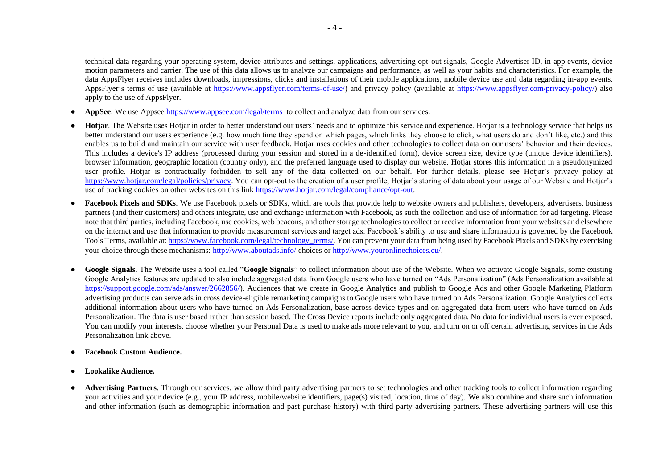technical data regarding your operating system, device attributes and settings, applications, advertising opt-out signals, Google Advertiser ID, in-app events, device motion parameters and carrier. The use of this data allows us to analyze our campaigns and performance, as well as your habits and characteristics. For example, the data AppsFlyer receives includes downloads, impressions, clicks and installations of their mobile applications, mobile device use and data regarding in-app events. AppsFlyer's terms of use (available at [https://www.appsflyer.com/terms-of-use/\)](https://www.appsflyer.com/terms-of-use/) and privacy policy (available at [https://www.appsflyer.com/privacy-policy/\)](https://www.appsflyer.com/privacy-policy/) also apply to the use of AppsFlyer.

- **AppSee**. We use Appsee <https://www.appsee.com/legal/terms> to collect and analyze data from our services.
- **Hotiar**. The Website uses Hotiar in order to better understand our users' needs and to optimize this service and experience. Hotiar is a technology service that helps us better understand our users experience (e.g. how much time they spend on which pages, which links they choose to click, what users do and don't like, etc.) and this enables us to build and maintain our service with user feedback. Hotjar uses cookies and other technologies to collect data on our users' behavior and their devices. This includes a device's IP address (processed during your session and stored in a de-identified form), device screen size, device type (unique device identifiers), browser information, geographic location (country only), and the preferred language used to display our website. Hotjar stores this information in a pseudonymized user profile. Hotjar is contractually forbidden to sell any of the data collected on our behalf. For further details, please see Hotjar's privacy policy at [https://www.hotjar.com/legal/policies/privacy.](https://www.hotjar.com/legal/policies/privacy) You can opt-out to the creation of a user profile, Hotjar's storing of data about your usage of our Website and Hotjar's use of tracking cookies on other websites on this link [https://www.hotjar.com/legal/compliance/opt-out.](https://www.hotjar.com/legal/compliance/opt-out)
- **Facebook Pixels and SDKs**. We use Facebook pixels or SDKs, which are tools that provide help to website owners and publishers, developers, advertisers, business partners (and their customers) and others integrate, use and exchange information with Facebook, as such the collection and use of information for ad targeting. Please note that third parties, including Facebook, use cookies, web beacons, and other storage technologies to collect or receive information from your websites and elsewhere on the internet and use that information to provide measurement services and target ads. Facebook's ability to use and share information is governed by the Facebook Tools Terms, available at: [https://www.facebook.com/legal/technology\\_terms/. Y](https://www.facebook.com/legal/technology_terms/)ou can prevent your data from being used by Facebook Pixels and SDKs by exercising your choice through these mechanisms[: http://www.aboutads.info/](http://www.aboutads.info/) [ch](http://www.aboutads.info/)oices [or http://www.youronlinechoices.eu/.](http://www.youronlinechoices.eu/)
- **Google Signals**. The Website uses a tool called "**Google Signals**" to collect information about use of the Website. When we activate Google Signals, some existing Google Analytics features are updated to also include aggregated data from Google users who have turned on "Ads Personalization" (Ads Personalization available at [https://support.google.com/ads/answer/2662856/\)](https://support.google.com/ads/answer/2662856/). Audiences that we create in Google Analytics and publish to Google Ads and other Google Marketing Platform advertising products can serve ads in cross device-eligible remarketing campaigns to Google users who have turned on Ads Personalization. Google Analytics collects additional information about users who have turned on Ads Personalization, base across device types and on aggregated data from users who have turned on Ads Personalization. The data is user based rather than session based. The Cross Device reports include only aggregated data. No data for individual users is ever exposed. You can modify your interests, choose whether your Personal Data is used to make ads more relevant to you, and turn on or off certain advertising services in the Ads Personalization link above.
- **Facebook Custom Audience.**
- **Lookalike Audience.**
- **Advertising Partners**. Through our services, we allow third party advertising partners to set technologies and other tracking tools to collect information regarding your activities and your device (e.g., your IP address, mobile/website identifiers, page(s) visited, location, time of day). We also combine and share such information and other information (such as demographic information and past purchase history) with third party advertising partners. These advertising partners will use this